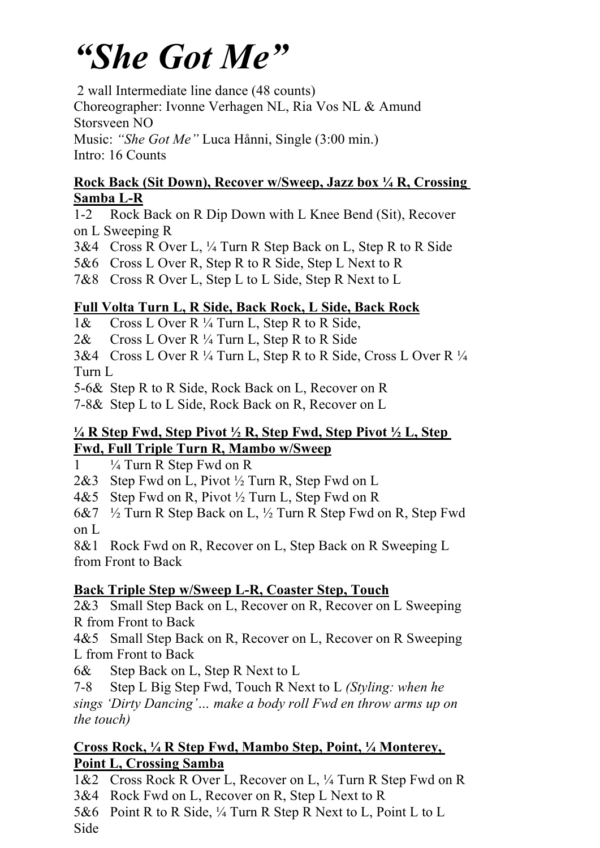# *"She Got Me"*

2 wall Intermediate line dance (48 counts)

Choreographer: Ivonne Verhagen NL, Ria Vos NL & Amund

Storsveen NO

Music: *"She Got Me"* Luca Hånni, Single (3:00 min.) Intro: 16 Counts

### **Rock Back (Sit Down), Recover w/Sweep, Jazz box ¼ R, Crossing Samba L-R**

1-2 Rock Back on R Dip Down with L Knee Bend (Sit), Recover on L Sweeping R

3&4 Cross R Over L, ¼ Turn R Step Back on L, Step R to R Side

5&6 Cross L Over R, Step R to R Side, Step L Next to R

7&8 Cross R Over L, Step L to L Side, Step R Next to L

# **Full Volta Turn L, R Side, Back Rock, L Side, Back Rock**

1& Cross L Over R ¼ Turn L, Step R to R Side,

2& Cross L Over R  $\frac{1}{4}$  Turn L, Step R to R Side

3&4 Cross L Over R ¼ Turn L, Step R to R Side, Cross L Over R ¼ Turn L

5-6& Step R to R Side, Rock Back on L, Recover on R

7-8& Step L to L Side, Rock Back on R, Recover on L

## **¼ R Step Fwd, Step Pivot ½ R, Step Fwd, Step Pivot ½ L, Step Fwd, Full Triple Turn R, Mambo w/Sweep**

 $1 \frac{1}{4}$  Turn R Step Fwd on R

2&3 Step Fwd on L, Pivot ½ Turn R, Step Fwd on L

4&5 Step Fwd on R, Pivot ½ Turn L, Step Fwd on R

6&7 ½ Turn R Step Back on L, ½ Turn R Step Fwd on R, Step Fwd on L

8&1 Rock Fwd on R, Recover on L, Step Back on R Sweeping L from Front to Back

# **Back Triple Step w/Sweep L-R, Coaster Step, Touch**

2&3 Small Step Back on L, Recover on R, Recover on L Sweeping R from Front to Back

4&5 Small Step Back on R, Recover on L, Recover on R Sweeping L from Front to Back

6& Step Back on L, Step R Next to L

7-8 Step L Big Step Fwd, Touch R Next to L *(Styling: when he sings 'Dirty Dancing'… make a body roll Fwd en throw arms up on the touch)*

### **Cross Rock, ¼ R Step Fwd, Mambo Step, Point, ¼ Monterey, Point L, Crossing Samba**

1&2 Cross Rock R Over L, Recover on L, ¼ Turn R Step Fwd on R

3&4 Rock Fwd on L, Recover on R, Step L Next to R

5&6 Point R to R Side, ¼ Turn R Step R Next to L, Point L to L

Side